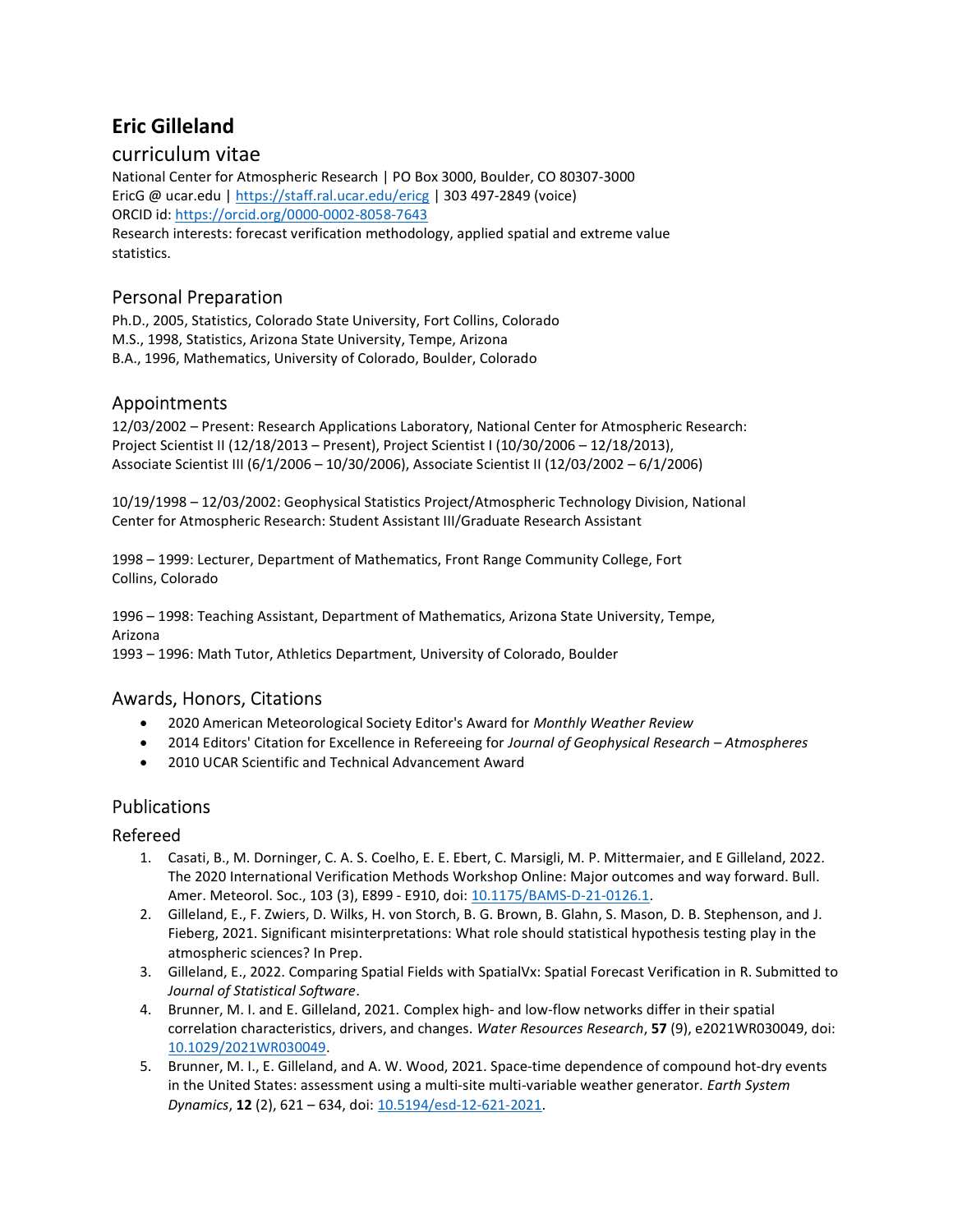# Eric Gilleland

### curriculum vitae

National Center for Atmospheric Research | PO Box 3000, Boulder, CO 80307-3000 EricG @ ucar.edu | https://staff.ral.ucar.edu/ericg | 303 497-2849 (voice) ORCID id: https://orcid.org/0000-0002-8058-7643 Research interests: forecast verification methodology, applied spatial and extreme value statistics.

# Personal Preparation

Ph.D., 2005, Statistics, Colorado State University, Fort Collins, Colorado M.S., 1998, Statistics, Arizona State University, Tempe, Arizona B.A., 1996, Mathematics, University of Colorado, Boulder, Colorado

### Appointments

12/03/2002 – Present: Research Applications Laboratory, National Center for Atmospheric Research: Project Scientist II (12/18/2013 – Present), Project Scientist I (10/30/2006 – 12/18/2013), Associate Scientist III (6/1/2006 – 10/30/2006), Associate Scientist II (12/03/2002 – 6/1/2006)

10/19/1998 – 12/03/2002: Geophysical Statistics Project/Atmospheric Technology Division, National Center for Atmospheric Research: Student Assistant III/Graduate Research Assistant

1998 – 1999: Lecturer, Department of Mathematics, Front Range Community College, Fort Collins, Colorado

1996 – 1998: Teaching Assistant, Department of Mathematics, Arizona State University, Tempe, Arizona

1993 – 1996: Math Tutor, Athletics Department, University of Colorado, Boulder

### Awards, Honors, Citations

- 2020 American Meteorological Society Editor's Award for Monthly Weather Review
- 2014 Editors' Citation for Excellence in Refereeing for Journal of Geophysical Research Atmospheres
- 2010 UCAR Scientific and Technical Advancement Award

### Publications

#### Refereed

- 1. Casati, B., M. Dorninger, C. A. S. Coelho, E. E. Ebert, C. Marsigli, M. P. Mittermaier, and E Gilleland, 2022. The 2020 International Verification Methods Workshop Online: Major outcomes and way forward. Bull. Amer. Meteorol. Soc., 103 (3), E899 - E910, doi: 10.1175/BAMS-D-21-0126.1.
- 2. Gilleland, E., F. Zwiers, D. Wilks, H. von Storch, B. G. Brown, B. Glahn, S. Mason, D. B. Stephenson, and J. Fieberg, 2021. Significant misinterpretations: What role should statistical hypothesis testing play in the atmospheric sciences? In Prep.
- 3. Gilleland, E., 2022. Comparing Spatial Fields with SpatialVx: Spatial Forecast Verification in R. Submitted to Journal of Statistical Software.
- 4. Brunner, M. I. and E. Gilleland, 2021. Complex high- and low-flow networks differ in their spatial correlation characteristics, drivers, and changes. Water Resources Research, 57 (9), e2021WR030049, doi: 10.1029/2021WR030049.
- 5. Brunner, M. I., E. Gilleland, and A. W. Wood, 2021. Space-time dependence of compound hot-dry events in the United States: assessment using a multi-site multi-variable weather generator. Earth System Dynamics, 12 (2), 621 – 634, doi: 10.5194/esd-12-621-2021.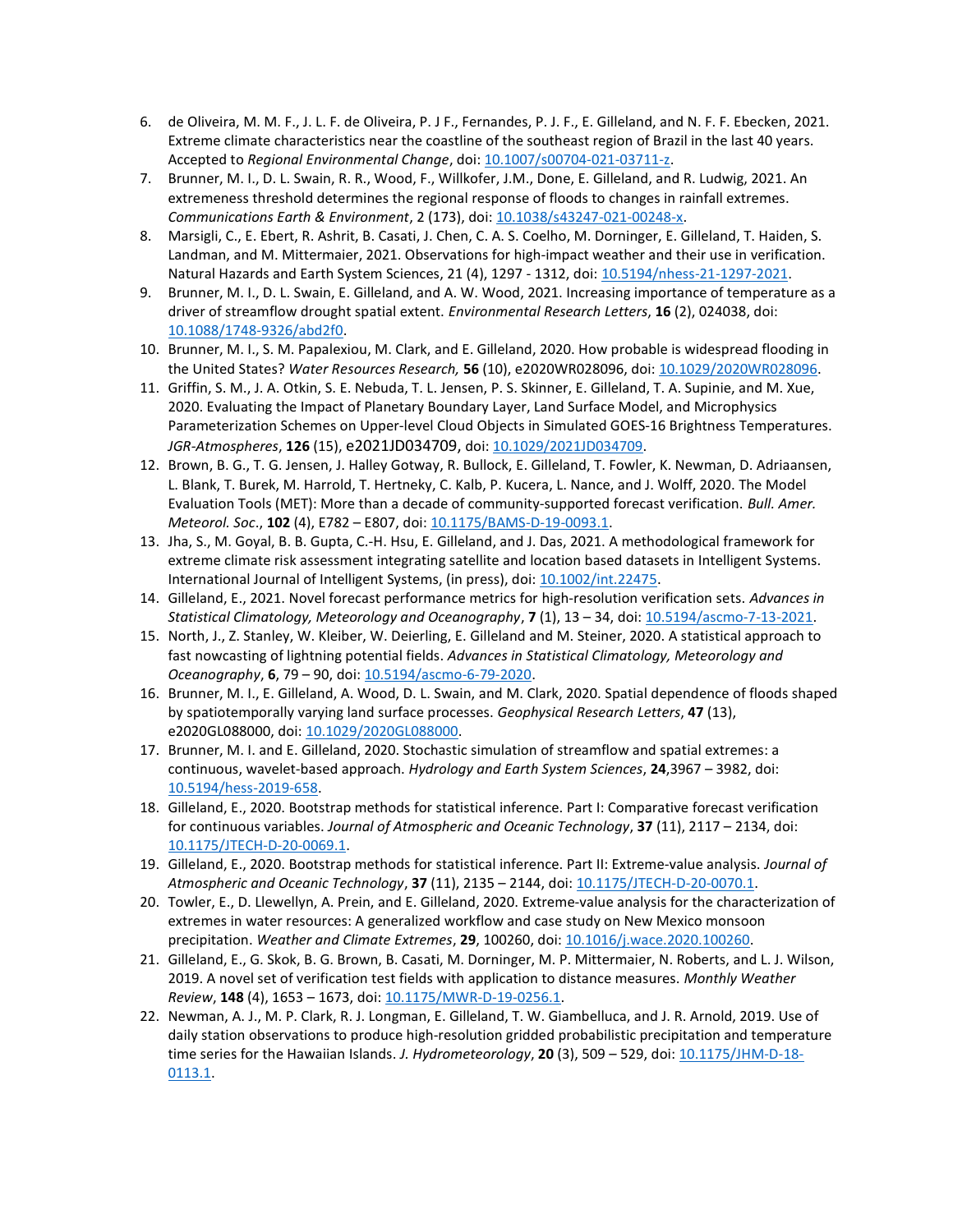- 6. de Oliveira, M. M. F., J. L. F. de Oliveira, P. J F., Fernandes, P. J. F., E. Gilleland, and N. F. F. Ebecken, 2021. Extreme climate characteristics near the coastline of the southeast region of Brazil in the last 40 years. Accepted to Regional Environmental Change, doi: 10.1007/s00704-021-03711-z.
- 7. Brunner, M. I., D. L. Swain, R. R., Wood, F., Willkofer, J.M., Done, E. Gilleland, and R. Ludwig, 2021. An extremeness threshold determines the regional response of floods to changes in rainfall extremes. Communications Earth & Environment, 2 (173), doi: 10.1038/s43247-021-00248-x.
- 8. Marsigli, C., E. Ebert, R. Ashrit, B. Casati, J. Chen, C. A. S. Coelho, M. Dorninger, E. Gilleland, T. Haiden, S. Landman, and M. Mittermaier, 2021. Observations for high-impact weather and their use in verification. Natural Hazards and Earth System Sciences, 21 (4), 1297 - 1312, doi: 10.5194/nhess-21-1297-2021.
- 9. Brunner, M. I., D. L. Swain, E. Gilleland, and A. W. Wood, 2021. Increasing importance of temperature as a driver of streamflow drought spatial extent. Environmental Research Letters, 16 (2), 024038, doi: 10.1088/1748-9326/abd2f0.
- 10. Brunner, M. I., S. M. Papalexiou, M. Clark, and E. Gilleland, 2020. How probable is widespread flooding in the United States? Water Resources Research, 56 (10), e2020WR028096, doi: 10.1029/2020WR028096.
- 11. Griffin, S. M., J. A. Otkin, S. E. Nebuda, T. L. Jensen, P. S. Skinner, E. Gilleland, T. A. Supinie, and M. Xue, 2020. Evaluating the Impact of Planetary Boundary Layer, Land Surface Model, and Microphysics Parameterization Schemes on Upper-level Cloud Objects in Simulated GOES-16 Brightness Temperatures. JGR-Atmospheres, 126 (15), e2021JD034709, doi: 10.1029/2021JD034709.
- 12. Brown, B. G., T. G. Jensen, J. Halley Gotway, R. Bullock, E. Gilleland, T. Fowler, K. Newman, D. Adriaansen, L. Blank, T. Burek, M. Harrold, T. Hertneky, C. Kalb, P. Kucera, L. Nance, and J. Wolff, 2020. The Model Evaluation Tools (MET): More than a decade of community-supported forecast verification. Bull. Amer. Meteorol. Soc., 102 (4), E782 - E807, doi: 10.1175/BAMS-D-19-0093.1.
- 13. Jha, S., M. Goyal, B. B. Gupta, C.-H. Hsu, E. Gilleland, and J. Das, 2021. A methodological framework for extreme climate risk assessment integrating satellite and location based datasets in Intelligent Systems. International Journal of Intelligent Systems, (in press), doi: 10.1002/int.22475.
- 14. Gilleland, E., 2021. Novel forecast performance metrics for high-resolution verification sets. Advances in Statistical Climatology, Meteorology and Oceanography, 7 (1), 13 – 34, doi: 10.5194/ascmo-7-13-2021.
- 15. North, J., Z. Stanley, W. Kleiber, W. Deierling, E. Gilleland and M. Steiner, 2020. A statistical approach to fast nowcasting of lightning potential fields. Advances in Statistical Climatology, Meteorology and Oceanography, 6, 79 – 90, doi: 10.5194/ascmo-6-79-2020.
- 16. Brunner, M. I., E. Gilleland, A. Wood, D. L. Swain, and M. Clark, 2020. Spatial dependence of floods shaped by spatiotemporally varying land surface processes. Geophysical Research Letters, 47 (13), e2020GL088000, doi: 10.1029/2020GL088000.
- 17. Brunner, M. I. and E. Gilleland, 2020. Stochastic simulation of streamflow and spatial extremes: a continuous, wavelet-based approach. Hydrology and Earth System Sciences, 24,3967 – 3982, doi: 10.5194/hess-2019-658.
- 18. Gilleland, E., 2020. Bootstrap methods for statistical inference. Part I: Comparative forecast verification for continuous variables. Journal of Atmospheric and Oceanic Technology, 37 (11), 2117 - 2134, doi: 10.1175/JTECH-D-20-0069.1.
- 19. Gilleland, E., 2020. Bootstrap methods for statistical inference. Part II: Extreme-value analysis. Journal of Atmospheric and Oceanic Technology, 37 (11), 2135 – 2144, doi: 10.1175/JTECH-D-20-0070.1.
- 20. Towler, E., D. Llewellyn, A. Prein, and E. Gilleland, 2020. Extreme-value analysis for the characterization of extremes in water resources: A generalized workflow and case study on New Mexico monsoon precipitation. Weather and Climate Extremes, 29, 100260, doi: 10.1016/j.wace.2020.100260.
- 21. Gilleland, E., G. Skok, B. G. Brown, B. Casati, M. Dorninger, M. P. Mittermaier, N. Roberts, and L. J. Wilson, 2019. A novel set of verification test fields with application to distance measures. Monthly Weather Review, 148 (4), 1653 – 1673, doi: 10.1175/MWR-D-19-0256.1.
- 22. Newman, A. J., M. P. Clark, R. J. Longman, E. Gilleland, T. W. Giambelluca, and J. R. Arnold, 2019. Use of daily station observations to produce high-resolution gridded probabilistic precipitation and temperature time series for the Hawaiian Islands. J. Hydrometeorology, 20 (3), 509 - 529, doi:  $10.1175$ /HM-D-18-0113.1.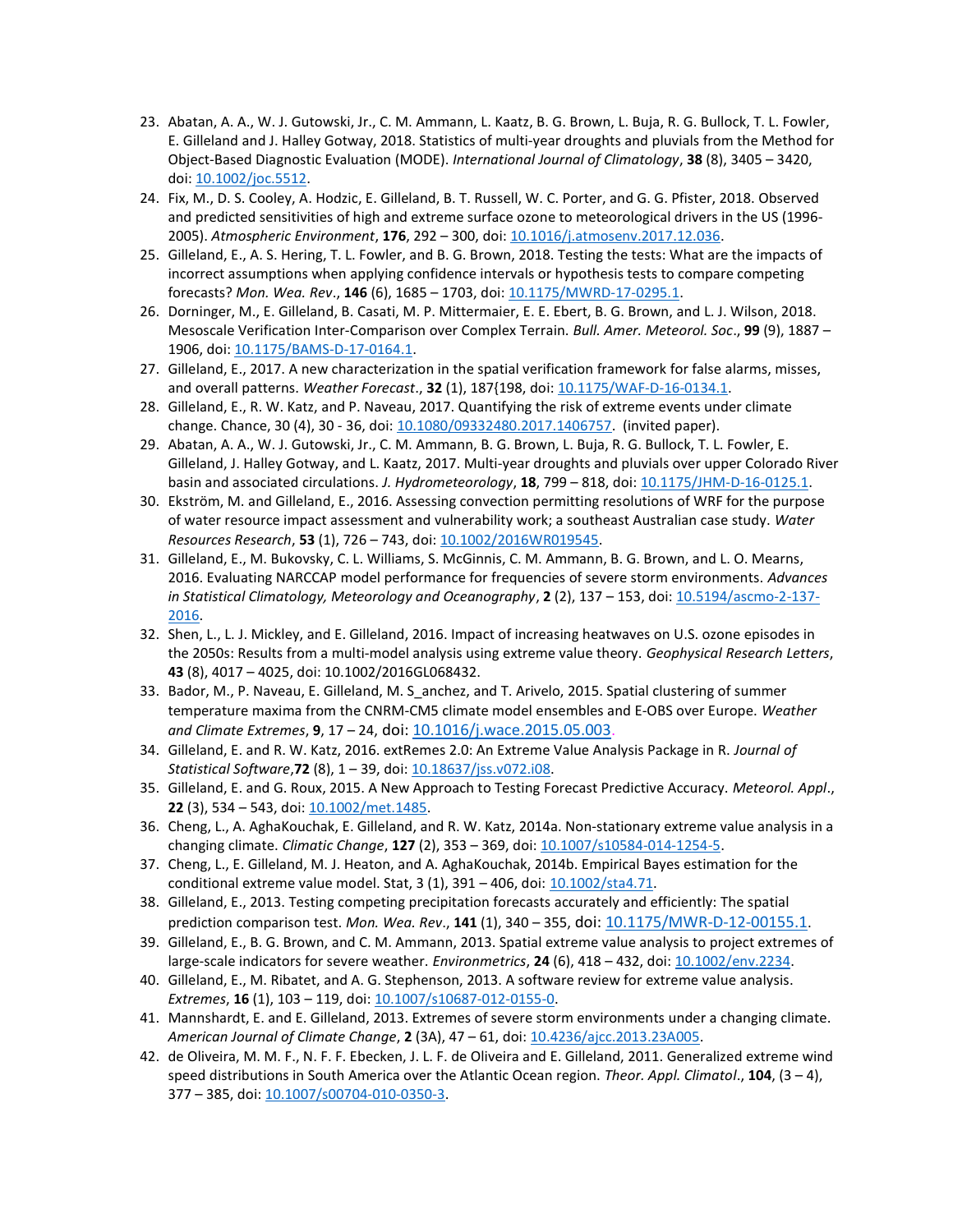- 23. Abatan, A. A., W. J. Gutowski, Jr., C. M. Ammann, L. Kaatz, B. G. Brown, L. Buja, R. G. Bullock, T. L. Fowler, E. Gilleland and J. Halley Gotway, 2018. Statistics of multi-year droughts and pluvials from the Method for Object-Based Diagnostic Evaluation (MODE). International Journal of Climatology, 38 (8), 3405 – 3420, doi: 10.1002/joc.5512.
- 24. Fix, M., D. S. Cooley, A. Hodzic, E. Gilleland, B. T. Russell, W. C. Porter, and G. G. Pfister, 2018. Observed and predicted sensitivities of high and extreme surface ozone to meteorological drivers in the US (1996- 2005). Atmospheric Environment, 176, 292 – 300, doi: 10.1016/j.atmosenv.2017.12.036.
- 25. Gilleland, E., A. S. Hering, T. L. Fowler, and B. G. Brown, 2018. Testing the tests: What are the impacts of incorrect assumptions when applying confidence intervals or hypothesis tests to compare competing forecasts? Mon. Wea. Rev., 146 (6), 1685 - 1703, doi: 10.1175/MWRD-17-0295.1.
- 26. Dorninger, M., E. Gilleland, B. Casati, M. P. Mittermaier, E. E. Ebert, B. G. Brown, and L. J. Wilson, 2018. Mesoscale Verification Inter-Comparison over Complex Terrain. Bull. Amer. Meteorol. Soc., 99 (9), 1887 -1906, doi: 10.1175/BAMS-D-17-0164.1.
- 27. Gilleland, E., 2017. A new characterization in the spatial verification framework for false alarms, misses, and overall patterns. Weather Forecast., 32 (1), 187{198, doi: 10.1175/WAF-D-16-0134.1.
- 28. Gilleland, E., R. W. Katz, and P. Naveau, 2017. Quantifying the risk of extreme events under climate change. Chance, 30 (4), 30 - 36, doi: 10.1080/09332480.2017.1406757. (invited paper).
- 29. Abatan, A. A., W. J. Gutowski, Jr., C. M. Ammann, B. G. Brown, L. Buja, R. G. Bullock, T. L. Fowler, E. Gilleland, J. Halley Gotway, and L. Kaatz, 2017. Multi-year droughts and pluvials over upper Colorado River basin and associated circulations. J. Hydrometeorology, 18, 799 - 818, doi: 10.1175/JHM-D-16-0125.1.
- 30. Ekström, M. and Gilleland, E., 2016. Assessing convection permitting resolutions of WRF for the purpose of water resource impact assessment and vulnerability work; a southeast Australian case study. Water Resources Research, 53 (1), 726 - 743, doi: 10.1002/2016WR019545.
- 31. Gilleland, E., M. Bukovsky, C. L. Williams, S. McGinnis, C. M. Ammann, B. G. Brown, and L. O. Mearns, 2016. Evaluating NARCCAP model performance for frequencies of severe storm environments. Advances in Statistical Climatology, Meteorology and Oceanography, 2 (2), 137 - 153, doi: 10.5194/ascmo-2-137-2016.
- 32. Shen, L., L. J. Mickley, and E. Gilleland, 2016. Impact of increasing heatwaves on U.S. ozone episodes in the 2050s: Results from a multi-model analysis using extreme value theory. Geophysical Research Letters, 43 (8), 4017 – 4025, doi: 10.1002/2016GL068432.
- 33. Bador, M., P. Naveau, E. Gilleland, M. S\_anchez, and T. Arivelo, 2015. Spatial clustering of summer temperature maxima from the CNRM-CM5 climate model ensembles and E-OBS over Europe. Weather and Climate Extremes, 9, 17 – 24, doi: 10.1016/j.wace.2015.05.003.
- 34. Gilleland, E. and R. W. Katz, 2016. extRemes 2.0: An Extreme Value Analysis Package in R. Journal of Statistical Software, 72 (8), 1 - 39, doi: 10.18637/jss.v072.i08.
- 35. Gilleland, E. and G. Roux, 2015. A New Approach to Testing Forecast Predictive Accuracy. Meteorol. Appl., 22 (3), 534 – 543, doi: 10.1002/met.1485.
- 36. Cheng, L., A. AghaKouchak, E. Gilleland, and R. W. Katz, 2014a. Non-stationary extreme value analysis in a changing climate. Climatic Change, 127 (2), 353 - 369, doi: 10.1007/s10584-014-1254-5.
- 37. Cheng, L., E. Gilleland, M. J. Heaton, and A. AghaKouchak, 2014b. Empirical Bayes estimation for the conditional extreme value model. Stat, 3 (1), 391 – 406, doi: 10.1002/sta4.71.
- 38. Gilleland, E., 2013. Testing competing precipitation forecasts accurately and efficiently: The spatial prediction comparison test. Mon. Wea. Rev., 141 (1), 340 - 355, doi: 10.1175/MWR-D-12-00155.1.
- 39. Gilleland, E., B. G. Brown, and C. M. Ammann, 2013. Spatial extreme value analysis to project extremes of large-scale indicators for severe weather. Environmetrics, 24 (6), 418 – 432, doi: 10.1002/env.2234.
- 40. Gilleland, E., M. Ribatet, and A. G. Stephenson, 2013. A software review for extreme value analysis. Extremes, 16 (1), 103 - 119, doi: 10.1007/s10687-012-0155-0.
- 41. Mannshardt, E. and E. Gilleland, 2013. Extremes of severe storm environments under a changing climate. American Journal of Climate Change, 2 (3A), 47 – 61, doi: 10.4236/ajcc.2013.23A005.
- 42. de Oliveira, M. M. F., N. F. F. Ebecken, J. L. F. de Oliveira and E. Gilleland, 2011. Generalized extreme wind speed distributions in South America over the Atlantic Ocean region. Theor. Appl. Climatol.,  $104$ ,  $(3 - 4)$ , 377 – 385, doi: 10.1007/s00704-010-0350-3.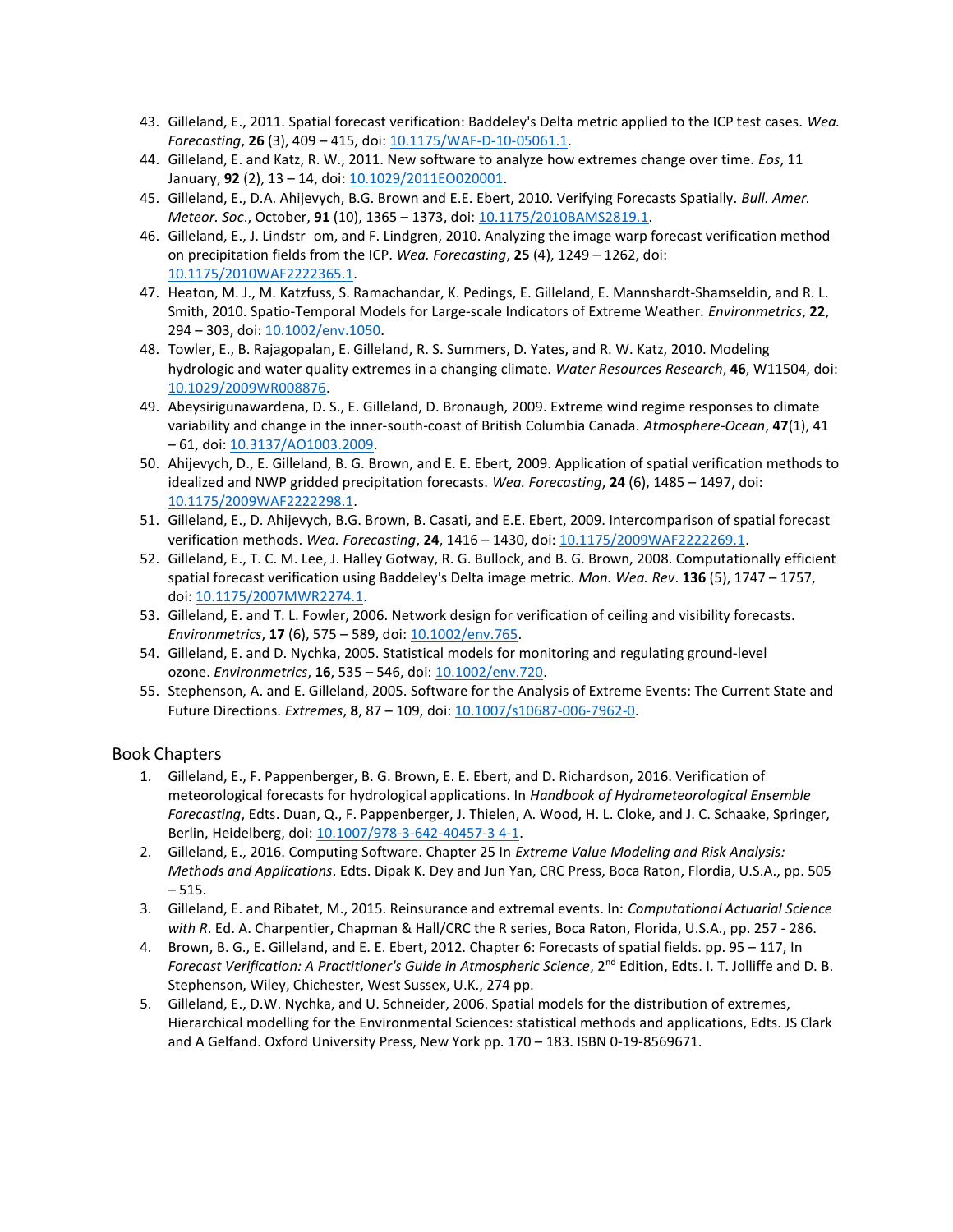- 43. Gilleland, E., 2011. Spatial forecast verification: Baddeley's Delta metric applied to the ICP test cases. Wea. Forecasting, 26 (3), 409 - 415, doi: 10.1175/WAF-D-10-05061.1.
- 44. Gilleland, E. and Katz, R. W., 2011. New software to analyze how extremes change over time. Eos, 11 January, 92 (2), 13 – 14, doi: 10.1029/2011EO020001.
- 45. Gilleland, E., D.A. Ahijevych, B.G. Brown and E.E. Ebert, 2010. Verifying Forecasts Spatially. Bull. Amer. Meteor. Soc., October, 91 (10), 1365 – 1373, doi: 10.1175/2010BAMS2819.1.
- 46. Gilleland, E., J. Lindstr om, and F. Lindgren, 2010. Analyzing the image warp forecast verification method on precipitation fields from the ICP. Wea. Forecasting, 25 (4), 1249 – 1262, doi: 10.1175/2010WAF2222365.1.
- 47. Heaton, M. J., M. Katzfuss, S. Ramachandar, K. Pedings, E. Gilleland, E. Mannshardt-Shamseldin, and R. L. Smith, 2010. Spatio-Temporal Models for Large-scale Indicators of Extreme Weather. Environmetrics, 22, 294 – 303, doi: 10.1002/env.1050.
- 48. Towler, E., B. Rajagopalan, E. Gilleland, R. S. Summers, D. Yates, and R. W. Katz, 2010. Modeling hydrologic and water quality extremes in a changing climate. Water Resources Research, 46, W11504, doi: 10.1029/2009WR008876.
- 49. Abeysirigunawardena, D. S., E. Gilleland, D. Bronaugh, 2009. Extreme wind regime responses to climate variability and change in the inner-south-coast of British Columbia Canada. Atmosphere-Ocean, 47(1), 41 – 61, doi: 10.3137/AO1003.2009.
- 50. Ahijevych, D., E. Gilleland, B. G. Brown, and E. E. Ebert, 2009. Application of spatial verification methods to idealized and NWP gridded precipitation forecasts. Wea. Forecasting, 24 (6), 1485 - 1497, doi: 10.1175/2009WAF2222298.1.
- 51. Gilleland, E., D. Ahijevych, B.G. Brown, B. Casati, and E.E. Ebert, 2009. Intercomparison of spatial forecast verification methods. Wea. Forecasting, 24, 1416 - 1430, doi: 10.1175/2009WAF2222269.1.
- 52. Gilleland, E., T. C. M. Lee, J. Halley Gotway, R. G. Bullock, and B. G. Brown, 2008. Computationally efficient spatial forecast verification using Baddeley's Delta image metric. Mon. Wea. Rev. 136 (5), 1747 - 1757, doi: 10.1175/2007MWR2274.1.
- 53. Gilleland, E. and T. L. Fowler, 2006. Network design for verification of ceiling and visibility forecasts. Environmetrics, 17 (6), 575 – 589, doi: 10.1002/env.765.
- 54. Gilleland, E. and D. Nychka, 2005. Statistical models for monitoring and regulating ground-level ozone. Environmetrics, 16, 535 – 546, doi: 10.1002/env.720.
- 55. Stephenson, A. and E. Gilleland, 2005. Software for the Analysis of Extreme Events: The Current State and Future Directions. Extremes, 8, 87 - 109, doi: 10.1007/s10687-006-7962-0.

### Book Chapters

- 1. Gilleland, E., F. Pappenberger, B. G. Brown, E. E. Ebert, and D. Richardson, 2016. Verification of meteorological forecasts for hydrological applications. In Handbook of Hydrometeorological Ensemble Forecasting, Edts. Duan, Q., F. Pappenberger, J. Thielen, A. Wood, H. L. Cloke, and J. C. Schaake, Springer, Berlin, Heidelberg, doi: 10.1007/978-3-642-40457-3 4-1.
- 2. Gilleland, E., 2016. Computing Software. Chapter 25 In Extreme Value Modeling and Risk Analysis: Methods and Applications. Edts. Dipak K. Dey and Jun Yan, CRC Press, Boca Raton, Flordia, U.S.A., pp. 505  $-515.$
- 3. Gilleland, E. and Ribatet, M., 2015. Reinsurance and extremal events. In: Computational Actuarial Science with R. Ed. A. Charpentier, Chapman & Hall/CRC the R series, Boca Raton, Florida, U.S.A., pp. 257 - 286.
- 4. Brown, B. G., E. Gilleland, and E. E. Ebert, 2012. Chapter 6: Forecasts of spatial fields. pp. 95 117, In Forecast Verification: A Practitioner's Guide in Atmospheric Science, 2<sup>nd</sup> Edition, Edts. I. T. Jolliffe and D. B. Stephenson, Wiley, Chichester, West Sussex, U.K., 274 pp.
- 5. Gilleland, E., D.W. Nychka, and U. Schneider, 2006. Spatial models for the distribution of extremes, Hierarchical modelling for the Environmental Sciences: statistical methods and applications, Edts. JS Clark and A Gelfand. Oxford University Press, New York pp. 170 – 183. ISBN 0-19-8569671.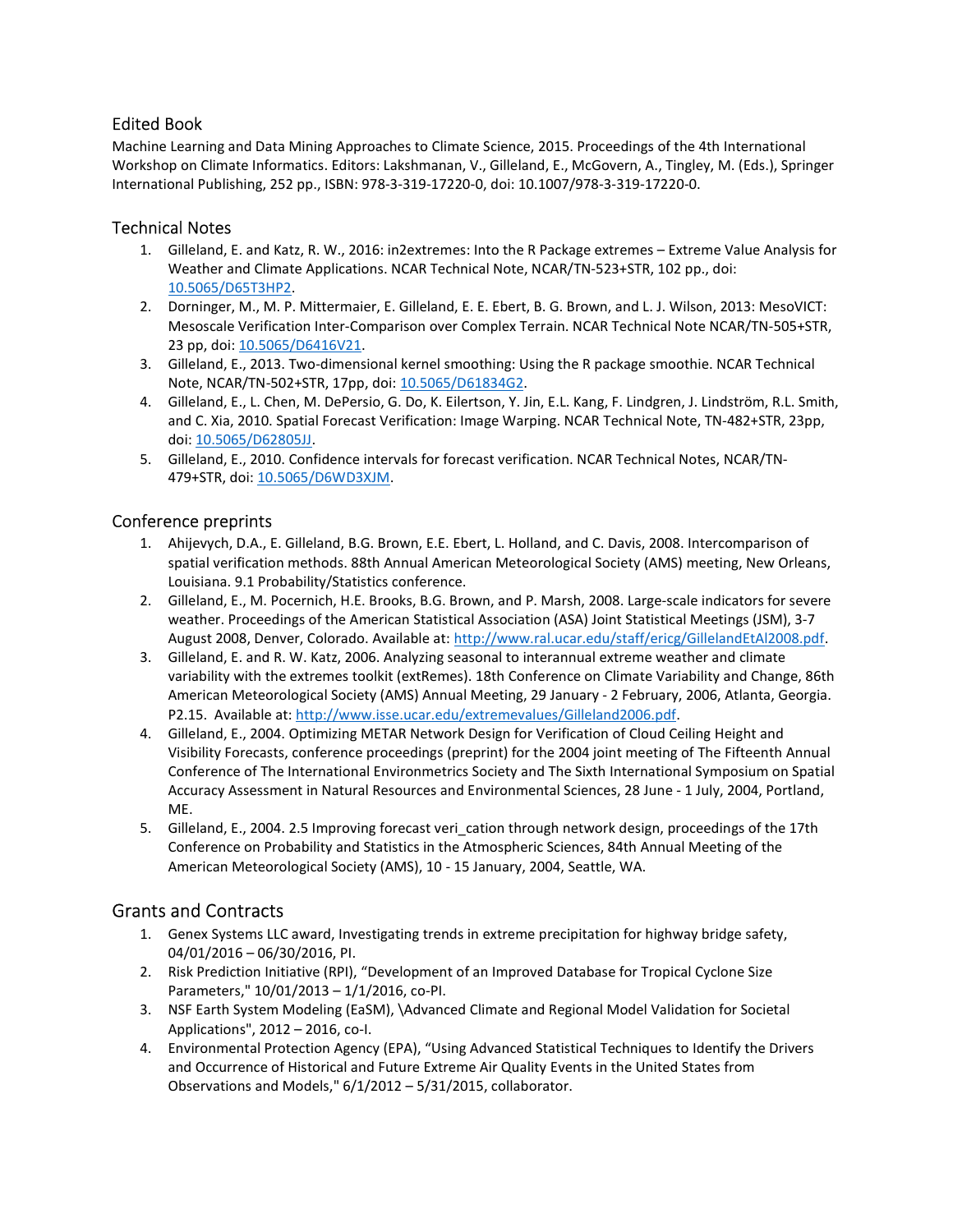### Edited Book

Machine Learning and Data Mining Approaches to Climate Science, 2015. Proceedings of the 4th International Workshop on Climate Informatics. Editors: Lakshmanan, V., Gilleland, E., McGovern, A., Tingley, M. (Eds.), Springer International Publishing, 252 pp., ISBN: 978-3-319-17220-0, doi: 10.1007/978-3-319-17220-0.

### Technical Notes

- 1. Gilleland, E. and Katz, R. W., 2016: in2extremes: Into the R Package extremes Extreme Value Analysis for Weather and Climate Applications. NCAR Technical Note, NCAR/TN-523+STR, 102 pp., doi: 10.5065/D65T3HP2.
- 2. Dorninger, M., M. P. Mittermaier, E. Gilleland, E. E. Ebert, B. G. Brown, and L. J. Wilson, 2013: MesoVICT: Mesoscale Verification Inter-Comparison over Complex Terrain. NCAR Technical Note NCAR/TN-505+STR, 23 pp, doi: 10.5065/D6416V21.
- 3. Gilleland, E., 2013. Two-dimensional kernel smoothing: Using the R package smoothie. NCAR Technical Note, NCAR/TN-502+STR, 17pp, doi: 10.5065/D61834G2.
- 4. Gilleland, E., L. Chen, M. DePersio, G. Do, K. Eilertson, Y. Jin, E.L. Kang, F. Lindgren, J. Lindström, R.L. Smith, and C. Xia, 2010. Spatial Forecast Verification: Image Warping. NCAR Technical Note, TN-482+STR, 23pp, doi: 10.5065/D62805JJ.
- 5. Gilleland, E., 2010. Confidence intervals for forecast verification. NCAR Technical Notes, NCAR/TN-479+STR, doi: 10.5065/D6WD3XJM.

### Conference preprints

- 1. Ahijevych, D.A., E. Gilleland, B.G. Brown, E.E. Ebert, L. Holland, and C. Davis, 2008. Intercomparison of spatial verification methods. 88th Annual American Meteorological Society (AMS) meeting, New Orleans, Louisiana. 9.1 Probability/Statistics conference.
- 2. Gilleland, E., M. Pocernich, H.E. Brooks, B.G. Brown, and P. Marsh, 2008. Large-scale indicators for severe weather. Proceedings of the American Statistical Association (ASA) Joint Statistical Meetings (JSM), 3-7 August 2008, Denver, Colorado. Available at: http://www.ral.ucar.edu/staff/ericg/GillelandEtAl2008.pdf.
- 3. Gilleland, E. and R. W. Katz, 2006. Analyzing seasonal to interannual extreme weather and climate variability with the extremes toolkit (extRemes). 18th Conference on Climate Variability and Change, 86th American Meteorological Society (AMS) Annual Meeting, 29 January - 2 February, 2006, Atlanta, Georgia. P2.15. Available at: http://www.isse.ucar.edu/extremevalues/Gilleland2006.pdf.
- 4. Gilleland, E., 2004. Optimizing METAR Network Design for Verification of Cloud Ceiling Height and Visibility Forecasts, conference proceedings (preprint) for the 2004 joint meeting of The Fifteenth Annual Conference of The International Environmetrics Society and The Sixth International Symposium on Spatial Accuracy Assessment in Natural Resources and Environmental Sciences, 28 June - 1 July, 2004, Portland, ME.
- 5. Gilleland, E., 2004. 2.5 Improving forecast veri cation through network design, proceedings of the 17th Conference on Probability and Statistics in the Atmospheric Sciences, 84th Annual Meeting of the American Meteorological Society (AMS), 10 - 15 January, 2004, Seattle, WA.

# Grants and Contracts

- 1. Genex Systems LLC award, Investigating trends in extreme precipitation for highway bridge safety, 04/01/2016 – 06/30/2016, PI.
- 2. Risk Prediction Initiative (RPI), "Development of an Improved Database for Tropical Cyclone Size Parameters," 10/01/2013 – 1/1/2016, co-PI.
- 3. NSF Earth System Modeling (EaSM), \Advanced Climate and Regional Model Validation for Societal Applications", 2012 – 2016, co-I.
- 4. Environmental Protection Agency (EPA), "Using Advanced Statistical Techniques to Identify the Drivers and Occurrence of Historical and Future Extreme Air Quality Events in the United States from Observations and Models," 6/1/2012 – 5/31/2015, collaborator.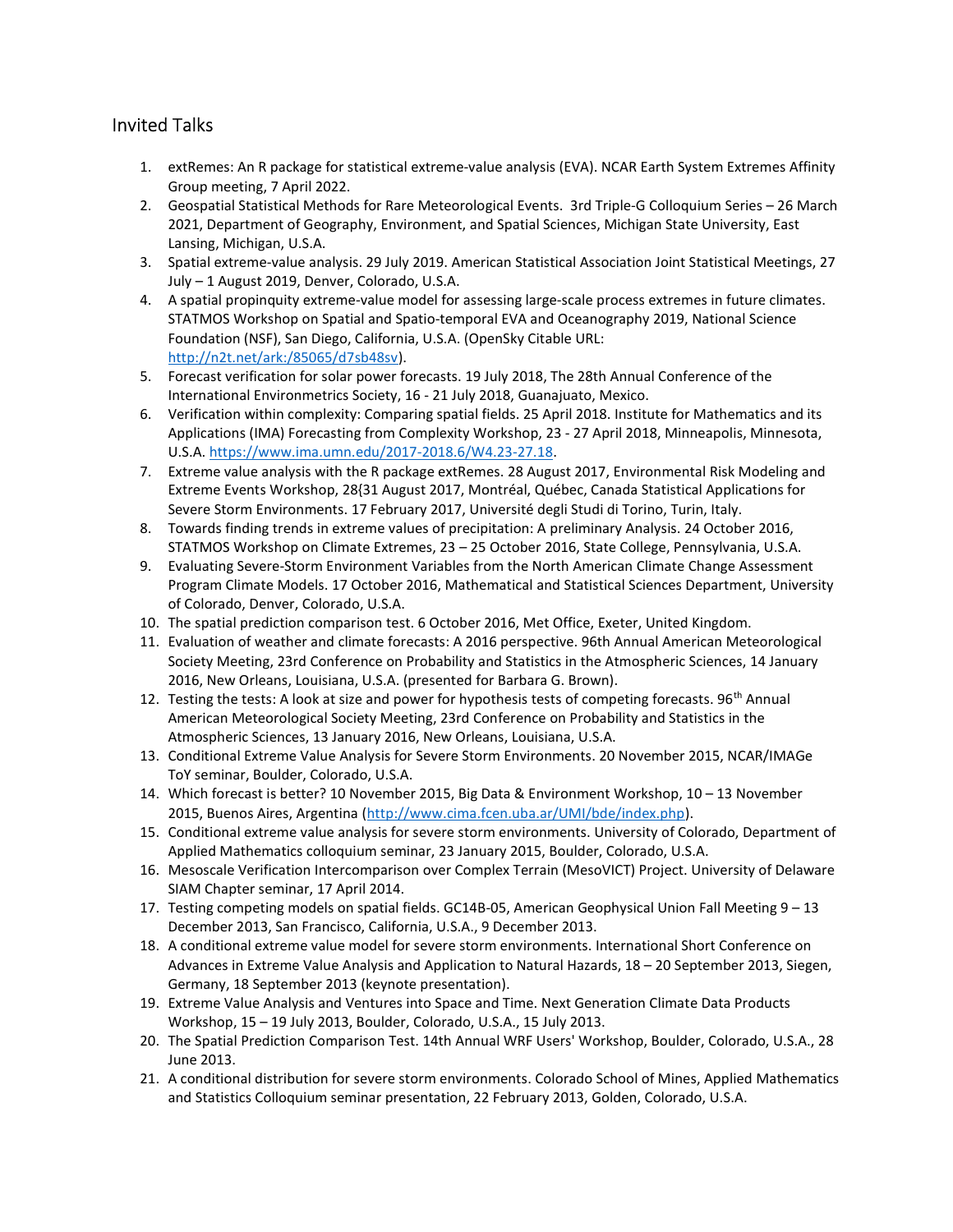# Invited Talks

- 1. extRemes: An R package for statistical extreme-value analysis (EVA). NCAR Earth System Extremes Affinity Group meeting, 7 April 2022.
- 2. Geospatial Statistical Methods for Rare Meteorological Events. 3rd Triple-G Colloquium Series 26 March 2021, Department of Geography, Environment, and Spatial Sciences, Michigan State University, East Lansing, Michigan, U.S.A.
- 3. Spatial extreme-value analysis. 29 July 2019. American Statistical Association Joint Statistical Meetings, 27 July – 1 August 2019, Denver, Colorado, U.S.A.
- 4. A spatial propinquity extreme-value model for assessing large-scale process extremes in future climates. STATMOS Workshop on Spatial and Spatio-temporal EVA and Oceanography 2019, National Science Foundation (NSF), San Diego, California, U.S.A. (OpenSky Citable URL: http://n2t.net/ark:/85065/d7sb48sv).
- 5. Forecast verification for solar power forecasts. 19 July 2018, The 28th Annual Conference of the International Environmetrics Society, 16 - 21 July 2018, Guanajuato, Mexico.
- 6. Verification within complexity: Comparing spatial fields. 25 April 2018. Institute for Mathematics and its Applications (IMA) Forecasting from Complexity Workshop, 23 - 27 April 2018, Minneapolis, Minnesota, U.S.A. https://www.ima.umn.edu/2017-2018.6/W4.23-27.18.
- 7. Extreme value analysis with the R package extRemes. 28 August 2017, Environmental Risk Modeling and Extreme Events Workshop, 28{31 August 2017, Montréal, Québec, Canada Statistical Applications for Severe Storm Environments. 17 February 2017, Université degli Studi di Torino, Turin, Italy.
- 8. Towards finding trends in extreme values of precipitation: A preliminary Analysis. 24 October 2016, STATMOS Workshop on Climate Extremes, 23 – 25 October 2016, State College, Pennsylvania, U.S.A.
- 9. Evaluating Severe-Storm Environment Variables from the North American Climate Change Assessment Program Climate Models. 17 October 2016, Mathematical and Statistical Sciences Department, University of Colorado, Denver, Colorado, U.S.A.
- 10. The spatial prediction comparison test. 6 October 2016, Met Office, Exeter, United Kingdom.
- 11. Evaluation of weather and climate forecasts: A 2016 perspective. 96th Annual American Meteorological Society Meeting, 23rd Conference on Probability and Statistics in the Atmospheric Sciences, 14 January 2016, New Orleans, Louisiana, U.S.A. (presented for Barbara G. Brown).
- 12. Testing the tests: A look at size and power for hypothesis tests of competing forecasts. 96<sup>th</sup> Annual American Meteorological Society Meeting, 23rd Conference on Probability and Statistics in the Atmospheric Sciences, 13 January 2016, New Orleans, Louisiana, U.S.A.
- 13. Conditional Extreme Value Analysis for Severe Storm Environments. 20 November 2015, NCAR/IMAGe ToY seminar, Boulder, Colorado, U.S.A.
- 14. Which forecast is better? 10 November 2015, Big Data & Environment Workshop, 10 13 November 2015, Buenos Aires, Argentina (http://www.cima.fcen.uba.ar/UMI/bde/index.php).
- 15. Conditional extreme value analysis for severe storm environments. University of Colorado, Department of Applied Mathematics colloquium seminar, 23 January 2015, Boulder, Colorado, U.S.A.
- 16. Mesoscale Verification Intercomparison over Complex Terrain (MesoVICT) Project. University of Delaware SIAM Chapter seminar, 17 April 2014.
- 17. Testing competing models on spatial fields. GC14B-05, American Geophysical Union Fall Meeting 9 13 December 2013, San Francisco, California, U.S.A., 9 December 2013.
- 18. A conditional extreme value model for severe storm environments. International Short Conference on Advances in Extreme Value Analysis and Application to Natural Hazards, 18 – 20 September 2013, Siegen, Germany, 18 September 2013 (keynote presentation).
- 19. Extreme Value Analysis and Ventures into Space and Time. Next Generation Climate Data Products Workshop, 15 – 19 July 2013, Boulder, Colorado, U.S.A., 15 July 2013.
- 20. The Spatial Prediction Comparison Test. 14th Annual WRF Users' Workshop, Boulder, Colorado, U.S.A., 28 June 2013.
- 21. A conditional distribution for severe storm environments. Colorado School of Mines, Applied Mathematics and Statistics Colloquium seminar presentation, 22 February 2013, Golden, Colorado, U.S.A.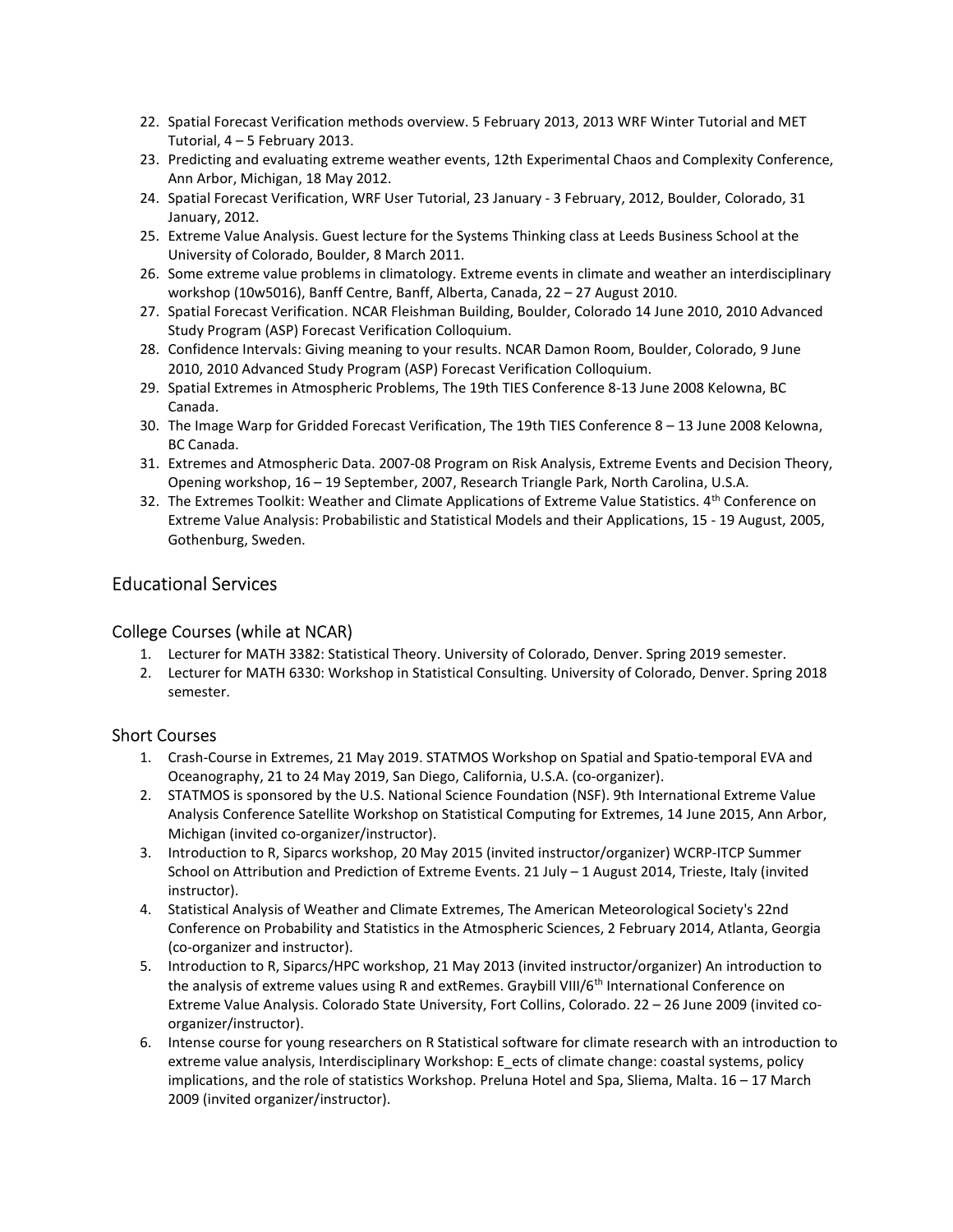- 22. Spatial Forecast Verification methods overview. 5 February 2013, 2013 WRF Winter Tutorial and MET Tutorial, 4 – 5 February 2013.
- 23. Predicting and evaluating extreme weather events, 12th Experimental Chaos and Complexity Conference, Ann Arbor, Michigan, 18 May 2012.
- 24. Spatial Forecast Verification, WRF User Tutorial, 23 January 3 February, 2012, Boulder, Colorado, 31 January, 2012.
- 25. Extreme Value Analysis. Guest lecture for the Systems Thinking class at Leeds Business School at the University of Colorado, Boulder, 8 March 2011.
- 26. Some extreme value problems in climatology. Extreme events in climate and weather an interdisciplinary workshop (10w5016), Banff Centre, Banff, Alberta, Canada, 22 – 27 August 2010.
- 27. Spatial Forecast Verification. NCAR Fleishman Building, Boulder, Colorado 14 June 2010, 2010 Advanced Study Program (ASP) Forecast Verification Colloquium.
- 28. Confidence Intervals: Giving meaning to your results. NCAR Damon Room, Boulder, Colorado, 9 June 2010, 2010 Advanced Study Program (ASP) Forecast Verification Colloquium.
- 29. Spatial Extremes in Atmospheric Problems, The 19th TIES Conference 8-13 June 2008 Kelowna, BC Canada.
- 30. The Image Warp for Gridded Forecast Verification, The 19th TIES Conference 8 13 June 2008 Kelowna, BC Canada.
- 31. Extremes and Atmospheric Data. 2007-08 Program on Risk Analysis, Extreme Events and Decision Theory, Opening workshop, 16 – 19 September, 2007, Research Triangle Park, North Carolina, U.S.A.
- 32. The Extremes Toolkit: Weather and Climate Applications of Extreme Value Statistics. 4<sup>th</sup> Conference on Extreme Value Analysis: Probabilistic and Statistical Models and their Applications, 15 - 19 August, 2005, Gothenburg, Sweden.

# Educational Services

### College Courses (while at NCAR)

- 1. Lecturer for MATH 3382: Statistical Theory. University of Colorado, Denver. Spring 2019 semester.
- 2. Lecturer for MATH 6330: Workshop in Statistical Consulting. University of Colorado, Denver. Spring 2018 semester.

### Short Courses

- 1. Crash-Course in Extremes, 21 May 2019. STATMOS Workshop on Spatial and Spatio-temporal EVA and Oceanography, 21 to 24 May 2019, San Diego, California, U.S.A. (co-organizer).
- 2. STATMOS is sponsored by the U.S. National Science Foundation (NSF). 9th International Extreme Value Analysis Conference Satellite Workshop on Statistical Computing for Extremes, 14 June 2015, Ann Arbor, Michigan (invited co-organizer/instructor).
- 3. Introduction to R, Siparcs workshop, 20 May 2015 (invited instructor/organizer) WCRP-ITCP Summer School on Attribution and Prediction of Extreme Events. 21 July - 1 August 2014, Trieste, Italy (invited instructor).
- 4. Statistical Analysis of Weather and Climate Extremes, The American Meteorological Society's 22nd Conference on Probability and Statistics in the Atmospheric Sciences, 2 February 2014, Atlanta, Georgia (co-organizer and instructor).
- 5. Introduction to R, Siparcs/HPC workshop, 21 May 2013 (invited instructor/organizer) An introduction to the analysis of extreme values using R and extRemes. Graybill VIII/6<sup>th</sup> International Conference on Extreme Value Analysis. Colorado State University, Fort Collins, Colorado. 22 – 26 June 2009 (invited coorganizer/instructor).
- 6. Intense course for young researchers on R Statistical software for climate research with an introduction to extreme value analysis, Interdisciplinary Workshop: E\_ects of climate change: coastal systems, policy implications, and the role of statistics Workshop. Preluna Hotel and Spa, Sliema, Malta. 16 – 17 March 2009 (invited organizer/instructor).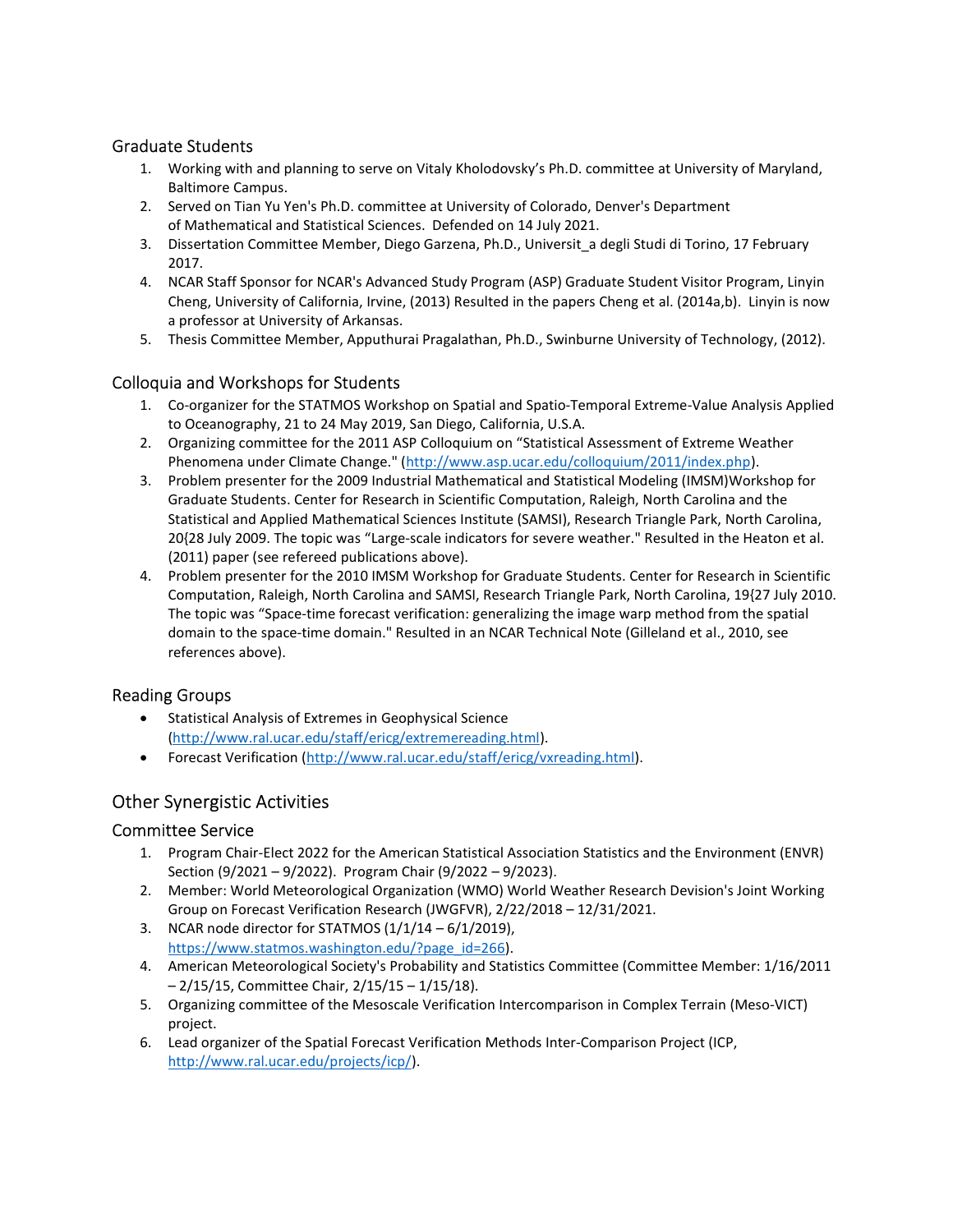### Graduate Students

- 1. Working with and planning to serve on Vitaly Kholodovsky's Ph.D. committee at University of Maryland, Baltimore Campus.
- 2. Served on Tian Yu Yen's Ph.D. committee at University of Colorado, Denver's Department of Mathematical and Statistical Sciences. Defended on 14 July 2021.
- 3. Dissertation Committee Member, Diego Garzena, Ph.D., Universit\_a degli Studi di Torino, 17 February 2017.
- 4. NCAR Staff Sponsor for NCAR's Advanced Study Program (ASP) Graduate Student Visitor Program, Linyin Cheng, University of California, Irvine, (2013) Resulted in the papers Cheng et al. (2014a,b). Linyin is now a professor at University of Arkansas.
- 5. Thesis Committee Member, Apputhurai Pragalathan, Ph.D., Swinburne University of Technology, (2012).

### Colloquia and Workshops for Students

- 1. Co-organizer for the STATMOS Workshop on Spatial and Spatio-Temporal Extreme-Value Analysis Applied to Oceanography, 21 to 24 May 2019, San Diego, California, U.S.A.
- 2. Organizing committee for the 2011 ASP Colloquium on "Statistical Assessment of Extreme Weather Phenomena under Climate Change." (http://www.asp.ucar.edu/colloquium/2011/index.php).
- 3. Problem presenter for the 2009 Industrial Mathematical and Statistical Modeling (IMSM)Workshop for Graduate Students. Center for Research in Scientific Computation, Raleigh, North Carolina and the Statistical and Applied Mathematical Sciences Institute (SAMSI), Research Triangle Park, North Carolina, 20{28 July 2009. The topic was "Large-scale indicators for severe weather." Resulted in the Heaton et al. (2011) paper (see refereed publications above).
- 4. Problem presenter for the 2010 IMSM Workshop for Graduate Students. Center for Research in Scientific Computation, Raleigh, North Carolina and SAMSI, Research Triangle Park, North Carolina, 19{27 July 2010. The topic was "Space-time forecast verification: generalizing the image warp method from the spatial domain to the space-time domain." Resulted in an NCAR Technical Note (Gilleland et al., 2010, see references above).

#### Reading Groups

- Statistical Analysis of Extremes in Geophysical Science (http://www.ral.ucar.edu/staff/ericg/extremereading.html).
- Forecast Verification (http://www.ral.ucar.edu/staff/ericg/vxreading.html).

# Other Synergistic Activities

#### Committee Service

- 1. Program Chair-Elect 2022 for the American Statistical Association Statistics and the Environment (ENVR) Section (9/2021 – 9/2022). Program Chair (9/2022 – 9/2023).
- 2. Member: World Meteorological Organization (WMO) World Weather Research Devision's Joint Working Group on Forecast Verification Research (JWGFVR), 2/22/2018 – 12/31/2021.
- 3. NCAR node director for STATMOS  $(1/1/14 6/1/2019)$ , https://www.statmos.washington.edu/?page\_id=266).
- 4. American Meteorological Society's Probability and Statistics Committee (Committee Member: 1/16/2011 – 2/15/15, Committee Chair, 2/15/15 – 1/15/18).
- 5. Organizing committee of the Mesoscale Verification Intercomparison in Complex Terrain (Meso-VICT) project.
- 6. Lead organizer of the Spatial Forecast Verification Methods Inter-Comparison Project (ICP, http://www.ral.ucar.edu/projects/icp/).